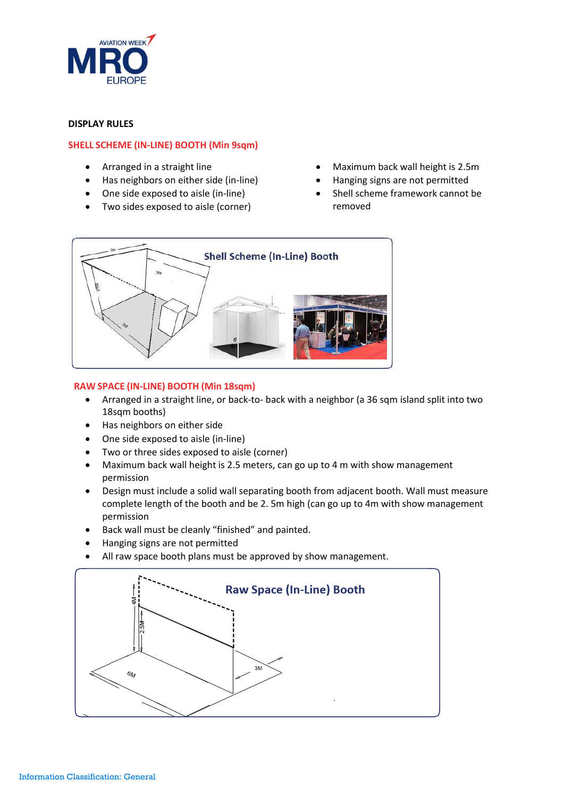

## **DISPLAY RULES**

# **SHELL SCHEME (IN-LINE) BOOTH (Min 9sqm)**

- Arranged in a straight line
- Has neighbors on either side (in-line)
- One side exposed to aisle (in-line)
- Two sides exposed to aisle (corner)
- Maximum back wall height is 2.5m
- Hanging signs are not permitted
- Shell scheme framework cannot be removed



# **RAW SPACE (IN-LINE) BOOTH (Min 18sqm)**

- Arranged in a straight line, or back-to- back with a neighbor (a 36 sqm island split into two 18sqm booths)
- Has neighbors on either side
- One side exposed to aisle (in-line)
- Two or three sides exposed to aisle (corner)
- Maximum back wall height is 2.5 meters, can go up to 4 m with show management permission
- Design must include a solid wall separating booth from adjacent booth. Wall must measure complete length of the booth and be 2. 5m high (can go up to 4m with show management permission
- Back wall must be cleanly "finished" and painted.
- Hanging signs are not permitted
- All raw space booth plans must be approved by show management.

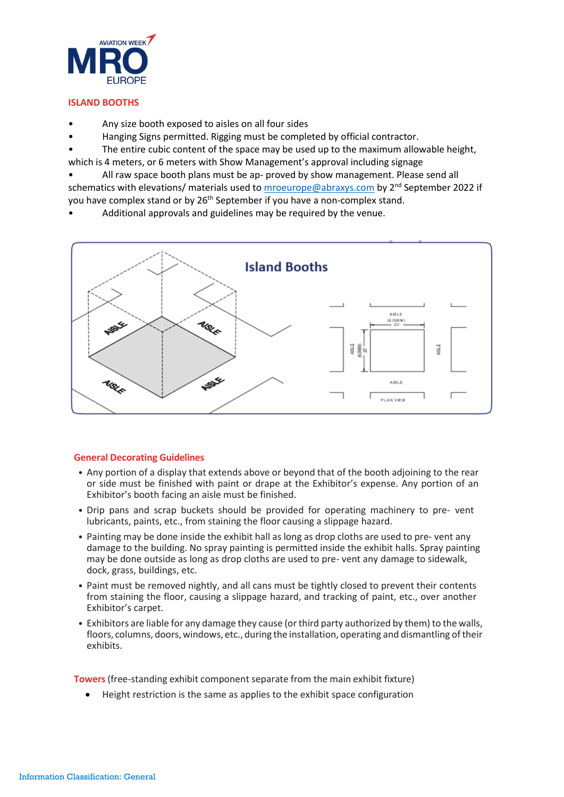

# **ISLAND BOOTHS**

- Any size booth exposed to aisles on all four sides
- Hanging Signs permitted. Rigging must be completed by official contractor.

The entire cubic content of the space may be used up to the maximum allowable height, which is 4 meters, or 6 meters with Show Management's approval including signage

• All raw space booth plans must be ap- proved by show management. Please send all schematics with elevations/ materials used t[o mroeurope@abraxys.com](mailto:mroeurope@abraxys.com) by 2<sup>nd</sup> September 2022 if you have complex stand or by 26<sup>th</sup> September if you have a non-complex stand.

• Additional approvals and guidelines may be required by the venue.



# **General Decorating Guidelines**

- Any portion of a display that extends above or beyond that of the booth adjoining to the rear or side must be finished with paint or drape at the Exhibitor's expense. Any portion of an Exhibitor's booth facing an aisle must be finished.
- Drip pans and scrap buckets should be provided for operating machinery to pre- vent lubricants, paints, etc., from staining the floor causing a slippage hazard.
- Painting may be done inside the exhibit hall as long as drop cloths are used to pre- vent any damage to the building. No spray painting is permitted inside the exhibit halls. Spray painting may be done outside as long as drop cloths are used to pre- vent any damage to sidewalk, dock, grass, buildings, etc.
- Paint must be removed nightly, and all cans must be tightly closed to prevent their contents from staining the floor, causing a slippage hazard, and tracking of paint, etc., over another Exhibitor's carpet.
- Exhibitors are liable for any damage they cause (or third party authorized by them) to the walls, floors, columns, doors, windows, etc., during the installation, operating and dismantling of their exhibits.

**Towers**(free-standing exhibit component separate from the main exhibit fixture)

• Height restriction is the same as applies to the exhibit space configuration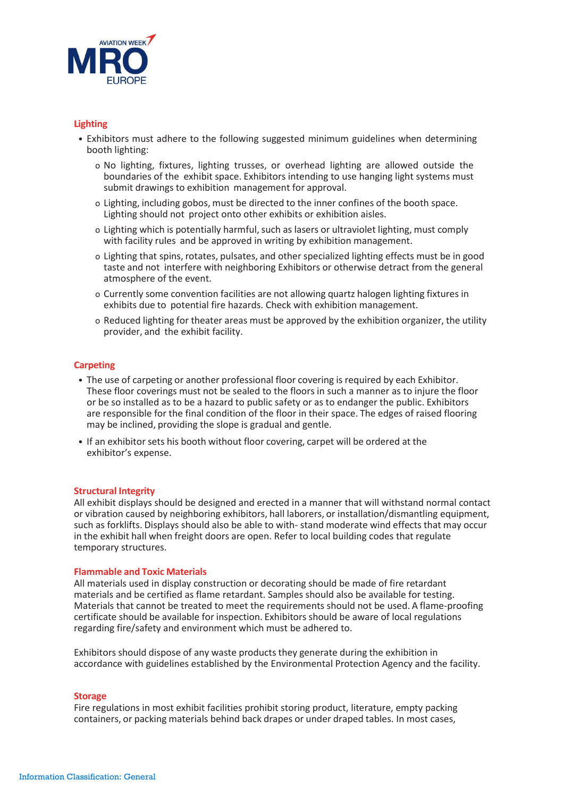

## **Lighting**

- Exhibitors must adhere to the following suggested minimum guidelines when determining booth lighting:
	- o No lighting, fixtures, lighting trusses, or overhead lighting are allowed outside the boundaries of the exhibit space. Exhibitors intending to use hanging light systems must submit drawings to exhibition management for approval.
	- o Lighting, including gobos, must be directed to the inner confines of the booth space. Lighting should not project onto other exhibits or exhibition aisles.
	- o Lighting which is potentially harmful, such as lasers or ultraviolet lighting, must comply with facility rules and be approved in writing by exhibition management.
	- o Lighting that spins,rotates, pulsates, and other specialized lighting effects must be in good taste and not interfere with neighboring Exhibitors or otherwise detract from the general atmosphere of the event.
	- o Currently some convention facilities are not allowing quartz halogen lighting fixtures in exhibits due to potential fire hazards. Check with exhibition management.
	- o Reduced lighting for theater areas must be approved by the exhibition organizer, the utility provider, and the exhibit facility.

### **Carpeting**

- The use of carpeting or another professional floor covering is required by each Exhibitor. These floor coverings must not be sealed to the floors in such a manner as to injure the floor or be so installed as to be a hazard to public safety or as to endanger the public. Exhibitors are responsible for the final condition of the floor in their space. The edges of raised flooring may be inclined, providing the slope is gradual and gentle.
- If an exhibitor sets his booth without floor covering, carpet will be ordered at the exhibitor's expense.

### **Structural Integrity**

All exhibit displays should be designed and erected in a manner that will withstand normal contact or vibration caused by neighboring exhibitors, hall laborers, or installation/dismantling equipment, such as forklifts. Displays should also be able to with- stand moderate wind effects that may occur in the exhibit hall when freight doors are open. Refer to local building codes that regulate temporary structures.

## **Flammable and Toxic Materials**

All materials used in display construction or decorating should be made of fire retardant materials and be certified as flame retardant. Samples should also be available for testing. Materials that cannot be treated to meet the requirements should not be used. A flame-proofing certificate should be available for inspection. Exhibitors should be aware of local regulations regarding fire/safety and environment which must be adhered to.

Exhibitors should dispose of any waste products they generate during the exhibition in accordance with guidelines established by the Environmental Protection Agency and the facility.

#### **Storage**

Fire regulations in most exhibit facilities prohibit storing product, literature, empty packing containers, or packing materials behind back drapes or under draped tables. In most cases,